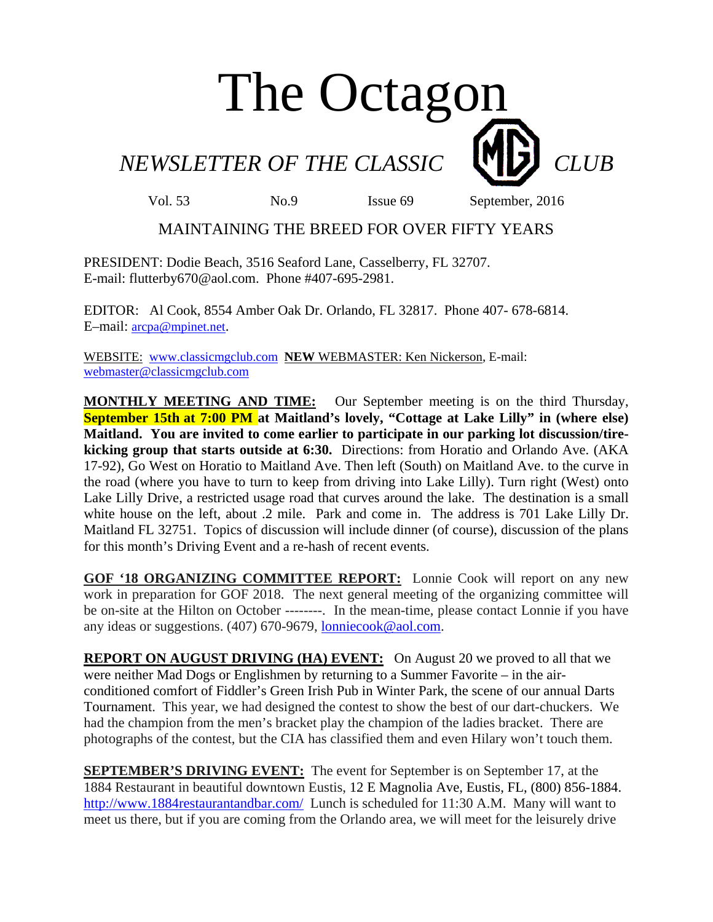## The Octagon

*NEWSLETTER OF THE CLASSIC* **CLUB** 

Vol. 53 No.9 Issue 69 September, 2016

## MAINTAINING THE BREED FOR OVER FIFTY YEARS

PRESIDENT: Dodie Beach, 3516 Seaford Lane, Casselberry, FL 32707. E-mail: flutterby670@aol.com. Phone #407-695-2981.

EDITOR: Al Cook, 8554 Amber Oak Dr. Orlando, FL 32817. Phone 407- 678-6814. E–mail: arcpa@mpinet.net.

WEBSITE: www.classicmgclub.com **NEW** WEBMASTER: Ken Nickerson, E-mail: webmaster@classicmgclub.com

**MONTHLY MEETING AND TIME:** Our September meeting is on the third Thursday, **September 15th at 7:00 PM at Maitland's lovely, "Cottage at Lake Lilly" in (where else) Maitland. You are invited to come earlier to participate in our parking lot discussion/tirekicking group that starts outside at 6:30.** Directions: from Horatio and Orlando Ave. (AKA 17-92), Go West on Horatio to Maitland Ave. Then left (South) on Maitland Ave. to the curve in the road (where you have to turn to keep from driving into Lake Lilly). Turn right (West) onto Lake Lilly Drive, a restricted usage road that curves around the lake. The destination is a small white house on the left, about .2 mile. Park and come in. The address is 701 Lake Lilly Dr. Maitland FL 32751. Topics of discussion will include dinner (of course), discussion of the plans for this month's Driving Event and a re-hash of recent events.

**GOF '18 ORGANIZING COMMITTEE REPORT:** Lonnie Cook will report on any new work in preparation for GOF 2018. The next general meeting of the organizing committee will be on-site at the Hilton on October --------. In the mean-time, please contact Lonnie if you have any ideas or suggestions. (407) 670-9679, lonniecook@aol.com.

**REPORT ON AUGUST DRIVING (HA) EVENT:** On August 20 we proved to all that we were neither Mad Dogs or Englishmen by returning to a Summer Favorite – in the airconditioned comfort of Fiddler's Green Irish Pub in Winter Park, the scene of our annual Darts Tournament. This year, we had designed the contest to show the best of our dart-chuckers. We had the champion from the men's bracket play the champion of the ladies bracket. There are photographs of the contest, but the CIA has classified them and even Hilary won't touch them.

**SEPTEMBER'S DRIVING EVENT:** The event for September is on September 17, at the 1884 Restaurant in beautiful downtown Eustis, 12 E Magnolia Ave, Eustis, FL, (800) 856-1884. http://www.1884restaurantandbar.com/ Lunch is scheduled for 11:30 A.M. Many will want to meet us there, but if you are coming from the Orlando area, we will meet for the leisurely drive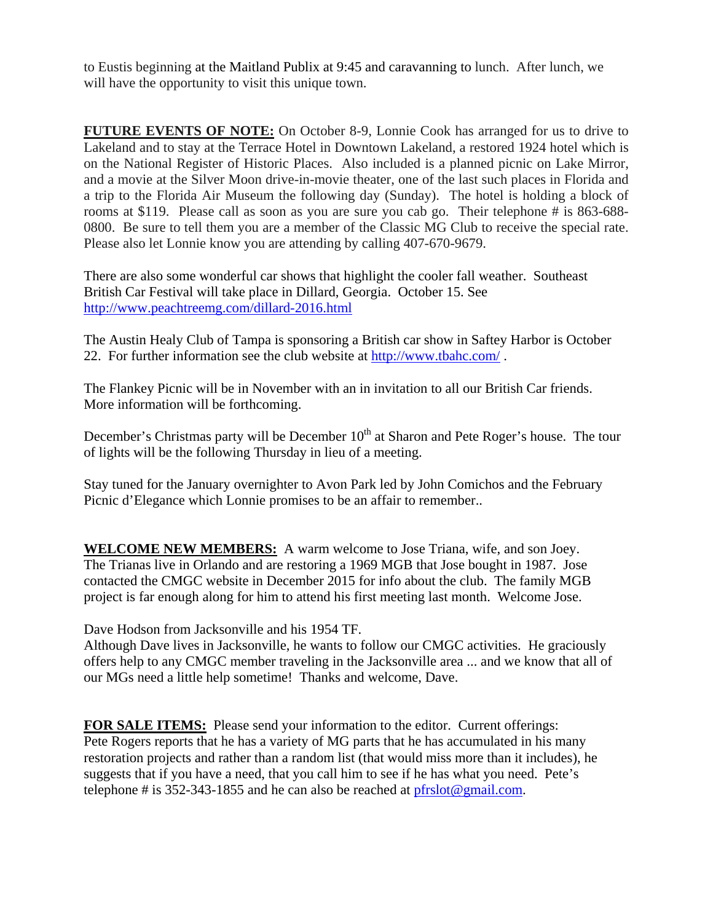to Eustis beginning at the Maitland Publix at 9:45 and caravanning to lunch. After lunch, we will have the opportunity to visit this unique town.

**FUTURE EVENTS OF NOTE:** On October 8-9, Lonnie Cook has arranged for us to drive to Lakeland and to stay at the Terrace Hotel in Downtown Lakeland, a restored 1924 hotel which is on the National Register of Historic Places. Also included is a planned picnic on Lake Mirror, and a movie at the Silver Moon drive-in-movie theater, one of the last such places in Florida and a trip to the Florida Air Museum the following day (Sunday). The hotel is holding a block of rooms at \$119. Please call as soon as you are sure you cab go. Their telephone # is 863-688- 0800. Be sure to tell them you are a member of the Classic MG Club to receive the special rate. Please also let Lonnie know you are attending by calling 407-670-9679.

There are also some wonderful car shows that highlight the cooler fall weather. Southeast British Car Festival will take place in Dillard, Georgia. October 15. See http://www.peachtreemg.com/dillard-2016.html

The Austin Healy Club of Tampa is sponsoring a British car show in Saftey Harbor is October 22. For further information see the club website at http://www.tbahc.com/ .

The Flankey Picnic will be in November with an in invitation to all our British Car friends. More information will be forthcoming.

December's Christmas party will be December 10<sup>th</sup> at Sharon and Pete Roger's house. The tour of lights will be the following Thursday in lieu of a meeting.

Stay tuned for the January overnighter to Avon Park led by John Comichos and the February Picnic d'Elegance which Lonnie promises to be an affair to remember..

**WELCOME NEW MEMBERS:** A warm welcome to Jose Triana, wife, and son Joey. The Trianas live in Orlando and are restoring a 1969 MGB that Jose bought in 1987. Jose contacted the CMGC website in December 2015 for info about the club. The family MGB project is far enough along for him to attend his first meeting last month. Welcome Jose.

Dave Hodson from Jacksonville and his 1954 TF.

Although Dave lives in Jacksonville, he wants to follow our CMGC activities. He graciously offers help to any CMGC member traveling in the Jacksonville area ... and we know that all of our MGs need a little help sometime! Thanks and welcome, Dave.

**FOR SALE ITEMS:** Please send your information to the editor. Current offerings: Pete Rogers reports that he has a variety of MG parts that he has accumulated in his many restoration projects and rather than a random list (that would miss more than it includes), he suggests that if you have a need, that you call him to see if he has what you need. Pete's telephone # is 352-343-1855 and he can also be reached at  $pfrslot@gmail.com$ .